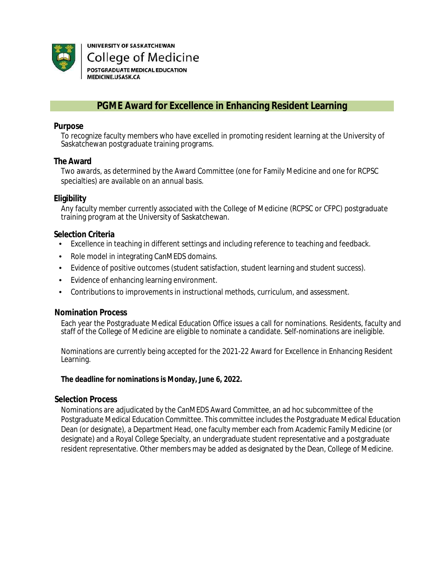

UNIVERSITY OF SASKATCHEWAN **College of Medicine** POSTGRADUATE MEDICAL EDUCATION MEDICINE.USASK.CA

## **PGME Award for Excellence in Enhancing Resident Learning**

## **Purpose**

To recognize faculty members who have excelled in promoting resident learning at the University of Saskatchewan postgraduate training programs.

## **The Award**

Two awards, as determined by the Award Committee (one for Family Medicine and one for RCPSC specialties) are available on an annual basis.

## **Eligibility**

Any faculty member currently associated with the College of Medicine (RCPSC or CFPC) postgraduate training program at the University of Saskatchewan.

## **Selection Criteria**

- Excellence in teaching in different settings and including reference to teaching and feedback.
- Role model in integrating CanMEDS domains.
- Evidence of positive outcomes (student satisfaction, student learning and student success).
- Evidence of enhancing learning environment.
- Contributions to improvements in instructional methods, curriculum, and assessment.

## **Nomination Process**

Each year the Postgraduate Medical Education Office issues a call for nominations. Residents, faculty and staff of the College of Medicine are eligible to nominate a candidate. Self-nominations are ineligible.

Nominations are currently being accepted for the 2021-22 Award for Excellence in Enhancing Resident Learning.

#### **The deadline for nominations is Monday, June 6, 2022.**

## **Selection Process**

Nominations are adjudicated by the CanMEDS Award Committee, an ad hoc subcommittee of the Postgraduate Medical Education Committee. This committee includes the Postgraduate Medical Education Dean (or designate), a Department Head, one faculty member each from Academic Family Medicine (or designate) and a Royal College Specialty, an undergraduate student representative and a postgraduate resident representative. Other members may be added as designated by the Dean, College of Medicine.